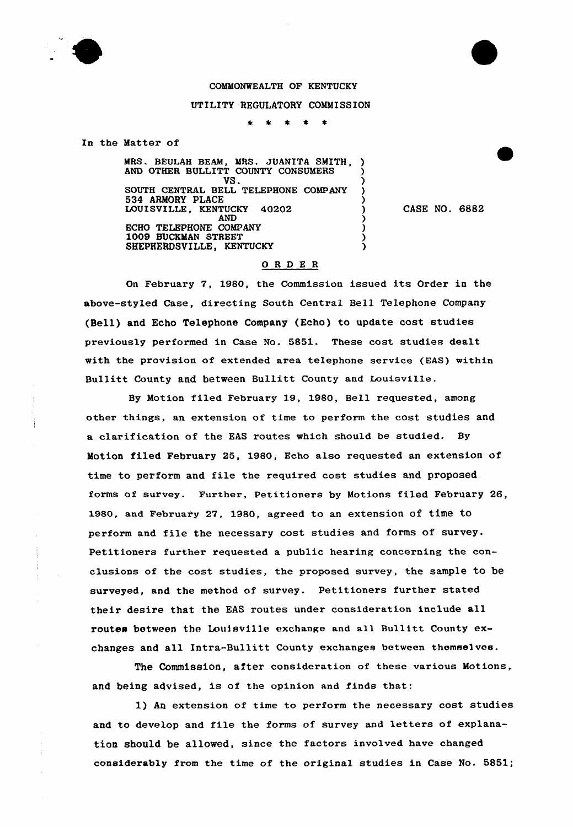

## COMMONWEALTH OF KENTUCKY

## UTILITY REGULATORY COMMISSION

 $\bullet$ ★ 1  $\star$ 

In the Matter of

MRS. BEULAH BEAM, MRS. JUANITA SMITH, ) AND OTHER BULLITT COUNTY CONSUMERS )  $V\$  .  $\qquad \qquad$  ) SOUTH CENTRAL BELL TELEPHONE COMPANY )  $534$  ARMORY PLACE  $\qquad \qquad$  ) LOUISVILLE, KENTUCKY 40202 (1  $\overrightarrow{AND}$  ) ECHO TELEPHONE COMPANY ) 1009 8UCKMAN STREET ) SHEPHERDSVILLE, KENTUCKY (2008) CASE NO. 6882

## ORDE <sup>R</sup>

On February 7, 1980, the Commission issued its Order in the above-styled Case, directing South Central Bell Telephone Company (Bell) and Echo Telephone Company (Echo} to update cost studies previously performed in Case No. 5851. These cost studies dealt with the provision of extended area telephone service (EAS) within Bullitt County and between Bullitt County and Louisville.

By Motion filed February 19, 19&0, Bell requested, among other things, an extension of time to perform the cost studies and a clarification of the EAS routes which should be studied. By Motion filed February 25, 1980, Echo also requested an extension of time to perform and file the required cost studies and proposed forms of survey. Further, Petitioners by Motions filed February 26, 1980, and February 27, 1980, agreed to an extension of time to perform and file the necessary cost studies and forms of survey. Petitioners further requested a public hearing concerning the conclusions of the cost studies, the proposed survey, the sample to be surveyed, and the method of survey. Petitioners further stated their desire that the EAS routes under consideration include all routes between the Louisville exchange and all Bullitt County exchanges and all Intra-Bullitt County exchanges between thomselvos.

The Commission, after consideration of these various Motions, and being advised, is of the opinion and finds that:

1) An extension of time to perform the necessary cost studies and to develop and file the forms of survey and letters of explanation should be allowed, since the factors involved have changed considerably from the time of the original studies in Case No. 5851;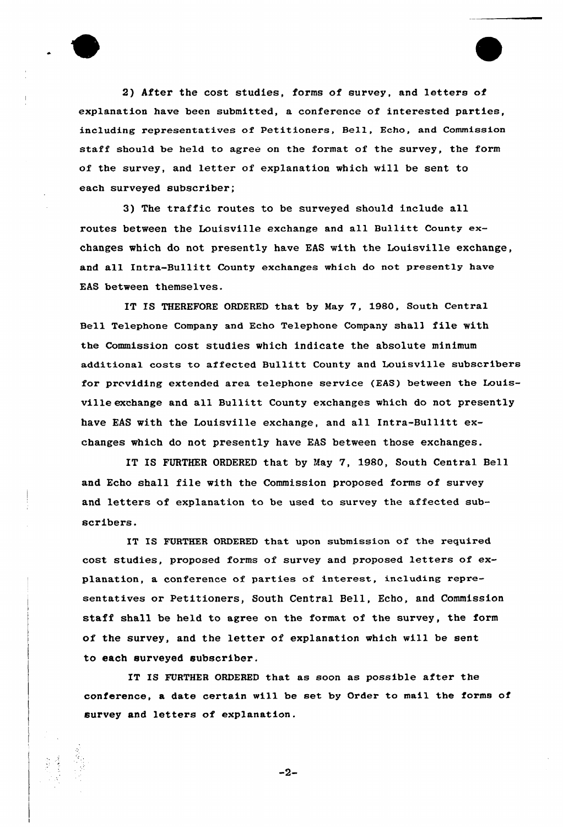

2) After the cost studies, forms of survey, and letters of explanation have been submitted, a conference of interested parties, including representatives of Petitioners, Bell, Echo, and Commission staff should be held to agree on the format of the survey, the form of the survey, and letter of explanation which will be sent to each surveyed subscriber;

3) The traffic routes to be surveyed should include all routes between the Louisville exchange and all Bullitt County exchanges which do not presently have EAS with the Louisville exchange, and all Intra-Bullitt County exchanges which do not presently have EAS between themselves.

IT IS THEREFORE ORDERED that by Nay 7, 1980, South Central Bell Telephone Company and Echo Telephone Company shal3 file with the Commission cost studies which indicate the absolute minimum additional costs to affected Bullitt County and Louisville subscribers for providing extended area telephone service (EAS) between the Louisville exchange and all Bullitt County exchanges which do not presently have EAS with the Louisville exchange, and all Intra-Bullitt exchanges which do not presently have EAS between those exchanges.

IT IS FURTHER ORDERED that by May 7, 1980, South Central Bell and Echo shall file with the Commission proposed forms of survey and letters of explanation to be used to survey the affected subscribers.

IT IS FURTHER ORDERED that upon submission of the required cost studies, proposed forms of survey and proposed letters of explanation, a conference of parties of interest, including representatives or Petitioners, South Central Bell, Echo, and Commission staff shall be held to agree on the format of the survey, the form of the survey, and the letter of explanation which will be sent to each surveyed subscriber.

IT IS FURTHER ORDERED that as soon as possible after the conference, a date certain will be set by Order to mail the forms of survey and letters of explanation.

-2-